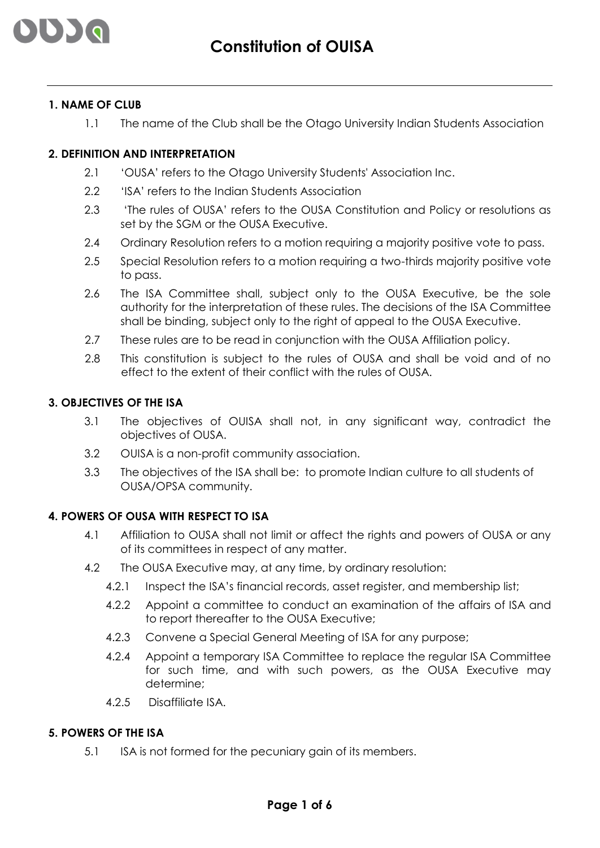

## **1. NAME OF CLUB**

1.1 The name of the Club shall be the Otago University Indian Students Association

## **2. DEFINITION AND INTERPRETATION**

- 2.1 'OUSA' refers to the Otago University Students' Association Inc.
- 2.2 'ISA' refers to the Indian Students Association
- 2.3 'The rules of OUSA' refers to the OUSA Constitution and Policy or resolutions as set by the SGM or the OUSA Executive.
- 2.4 Ordinary Resolution refers to a motion requiring a majority positive vote to pass.
- 2.5 Special Resolution refers to a motion requiring a two-thirds majority positive vote to pass.
- 2.6 The ISA Committee shall, subject only to the OUSA Executive, be the sole authority for the interpretation of these rules. The decisions of the ISA Committee shall be binding, subject only to the right of appeal to the OUSA Executive.
- 2.7 These rules are to be read in conjunction with the OUSA Affiliation policy.
- 2.8 This constitution is subject to the rules of OUSA and shall be void and of no effect to the extent of their conflict with the rules of OUSA.

# **3. OBJECTIVES OF THE ISA**

- 3.1 The objectives of OUISA shall not, in any significant way, contradict the objectives of OUSA.
- 3.2 OUISA is a non-profit community association.
- 3.3 The objectives of the ISA shall be: to promote Indian culture to all students of OUSA/OPSA community.

### **4. POWERS OF OUSA WITH RESPECT TO ISA**

- 4.1 Affiliation to OUSA shall not limit or affect the rights and powers of OUSA or any of its committees in respect of any matter.
- 4.2 The OUSA Executive may, at any time, by ordinary resolution:
	- 4.2.1 Inspect the ISA's financial records, asset register, and membership list;
	- 4.2.2 Appoint a committee to conduct an examination of the affairs of ISA and to report thereafter to the OUSA Executive;
	- 4.2.3 Convene a Special General Meeting of ISA for any purpose;
	- 4.2.4 Appoint a temporary ISA Committee to replace the regular ISA Committee for such time, and with such powers, as the OUSA Executive may determine;
	- 4.2.5 Disaffiliate ISA.

### **5. POWERS OF THE ISA**

5.1 ISA is not formed for the pecuniary gain of its members.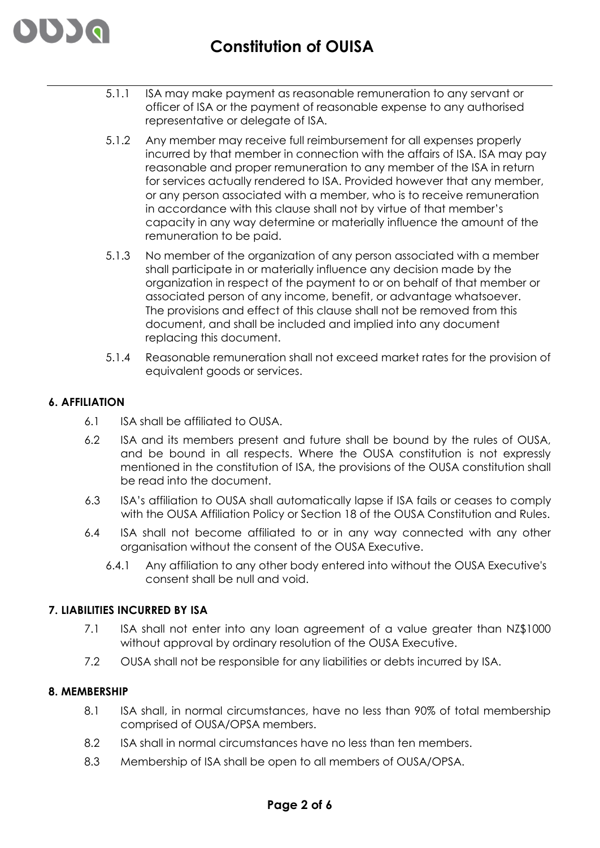

- 5.1.1 ISA may make payment as reasonable remuneration to any servant or officer of ISA or the payment of reasonable expense to any authorised representative or delegate of ISA.
- 5.1.2 Any member may receive full reimbursement for all expenses properly incurred by that member in connection with the affairs of ISA. ISA may pay reasonable and proper remuneration to any member of the ISA in return for services actually rendered to ISA. Provided however that any member, or any person associated with a member, who is to receive remuneration in accordance with this clause shall not by virtue of that member's capacity in any way determine or materially influence the amount of the remuneration to be paid.
- 5.1.3 No member of the organization of any person associated with a member shall participate in or materially influence any decision made by the organization in respect of the payment to or on behalf of that member or associated person of any income, benefit, or advantage whatsoever. The provisions and effect of this clause shall not be removed from this document, and shall be included and implied into any document replacing this document.
- 5.1.4 Reasonable remuneration shall not exceed market rates for the provision of equivalent goods or services.

## **6. AFFILIATION**

- 6.1 ISA shall be affiliated to OUSA.
- 6.2 ISA and its members present and future shall be bound by the rules of OUSA, and be bound in all respects. Where the OUSA constitution is not expressly mentioned in the constitution of ISA, the provisions of the OUSA constitution shall be read into the document.
- 6.3 ISA's affiliation to OUSA shall automatically lapse if ISA fails or ceases to comply with the OUSA Affiliation Policy or Section 18 of the OUSA Constitution and Rules.
- 6.4 ISA shall not become affiliated to or in any way connected with any other organisation without the consent of the OUSA Executive.
	- 6.4.1 Any affiliation to any other body entered into without the OUSA Executive's consent shall be null and void.

### **7. LIABILITIES INCURRED BY ISA**

- 7.1 ISA shall not enter into any loan agreement of a value greater than NZ\$1000 without approval by ordinary resolution of the OUSA Executive.
- 7.2 OUSA shall not be responsible for any liabilities or debts incurred by ISA.

## **8. MEMBERSHIP**

- 8.1 ISA shall, in normal circumstances, have no less than 90% of total membership comprised of OUSA/OPSA members.
- 8.2 ISA shall in normal circumstances have no less than ten members.
- 8.3 Membership of ISA shall be open to all members of OUSA/OPSA.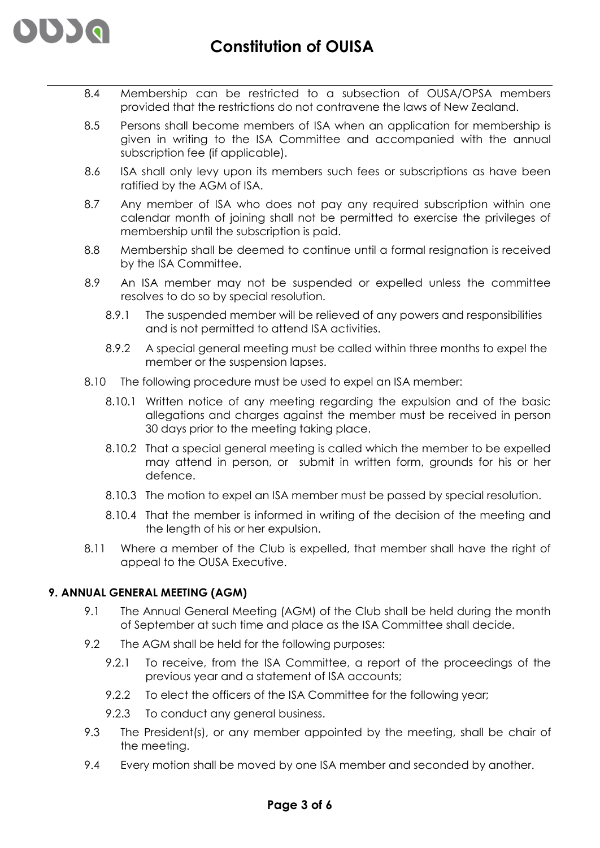

- 8.4 Membership can be restricted to a subsection of OUSA/OPSA members provided that the restrictions do not contravene the laws of New Zealand.
- 8.5 Persons shall become members of ISA when an application for membership is given in writing to the ISA Committee and accompanied with the annual subscription fee (if applicable).
- 8.6 ISA shall only levy upon its members such fees or subscriptions as have been ratified by the AGM of ISA.
- 8.7 Any member of ISA who does not pay any required subscription within one calendar month of joining shall not be permitted to exercise the privileges of membership until the subscription is paid.
- 8.8 Membership shall be deemed to continue until a formal resignation is received by the ISA Committee.
- 8.9 An ISA member may not be suspended or expelled unless the committee resolves to do so by special resolution.
	- 8.9.1 The suspended member will be relieved of any powers and responsibilities and is not permitted to attend ISA activities.
	- 8.9.2 A special general meeting must be called within three months to expel the member or the suspension lapses.
- 8.10 The following procedure must be used to expel an ISA member:
	- 8.10.1 Written notice of any meeting regarding the expulsion and of the basic allegations and charges against the member must be received in person 30 days prior to the meeting taking place.
	- 8.10.2 That a special general meeting is called which the member to be expelled may attend in person, or submit in written form, grounds for his or her defence.
	- 8.10.3 The motion to expel an ISA member must be passed by special resolution.
	- 8.10.4 That the member is informed in writing of the decision of the meeting and the length of his or her expulsion.
- 8.11 Where a member of the Club is expelled, that member shall have the right of appeal to the OUSA Executive.

## **9. ANNUAL GENERAL MEETING (AGM)**

- 9.1 The Annual General Meeting (AGM) of the Club shall be held during the month of September at such time and place as the ISA Committee shall decide.
- 9.2 The AGM shall be held for the following purposes:
	- 9.2.1 To receive, from the ISA Committee, a report of the proceedings of the previous year and a statement of ISA accounts;
	- 9.2.2 To elect the officers of the ISA Committee for the following year;
	- 9.2.3 To conduct any general business.
- 9.3 The President(s), or any member appointed by the meeting, shall be chair of the meeting.
- 9.4 Every motion shall be moved by one ISA member and seconded by another.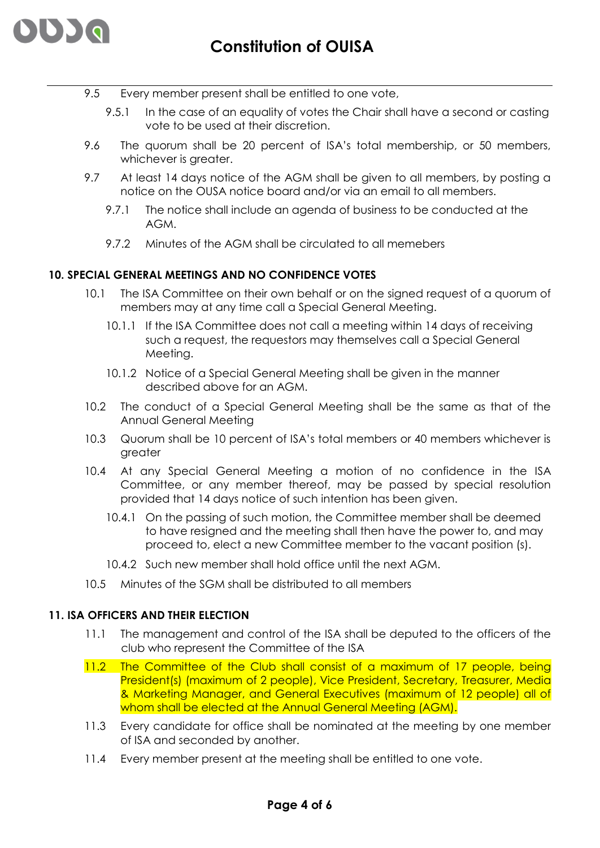

- 9.5 Every member present shall be entitled to one vote,
	- 9.5.1 In the case of an equality of votes the Chair shall have a second or casting vote to be used at their discretion.
- 9.6 The quorum shall be 20 percent of ISA's total membership, or 50 members, whichever is greater.
- 9.7 At least 14 days notice of the AGM shall be given to all members, by posting a notice on the OUSA notice board and/or via an email to all members.
	- 9.7.1 The notice shall include an agenda of business to be conducted at the AGM.
	- 9.7.2 Minutes of the AGM shall be circulated to all memebers

## **10. SPECIAL GENERAL MEETINGS AND NO CONFIDENCE VOTES**

- 10.1 The ISA Committee on their own behalf or on the signed request of a quorum of members may at any time call a Special General Meeting.
	- 10.1.1 If the ISA Committee does not call a meeting within 14 days of receiving such a request, the requestors may themselves call a Special General Meeting.
	- 10.1.2 Notice of a Special General Meeting shall be given in the manner described above for an AGM.
- 10.2 The conduct of a Special General Meeting shall be the same as that of the Annual General Meeting
- 10.3 Quorum shall be 10 percent of ISA's total members or 40 members whichever is greater
- 10.4 At any Special General Meeting a motion of no confidence in the ISA Committee, or any member thereof, may be passed by special resolution provided that 14 days notice of such intention has been given.
	- 10.4.1 On the passing of such motion, the Committee member shall be deemed to have resigned and the meeting shall then have the power to, and may proceed to, elect a new Committee member to the vacant position (s).
	- 10.4.2 Such new member shall hold office until the next AGM.
- 10.5 Minutes of the SGM shall be distributed to all members

### **11. ISA OFFICERS AND THEIR ELECTION**

- 11.1 The management and control of the ISA shall be deputed to the officers of the club who represent the Committee of the ISA
- 11.2 The Committee of the Club shall consist of a maximum of 17 people, being President(s) (maximum of 2 people), Vice President, Secretary, Treasurer, Media & Marketing Manager, and General Executives (maximum of 12 people) all of whom shall be elected at the Annual General Meeting (AGM).
- 11.3 Every candidate for office shall be nominated at the meeting by one member of ISA and seconded by another.
- 11.4 Every member present at the meeting shall be entitled to one vote.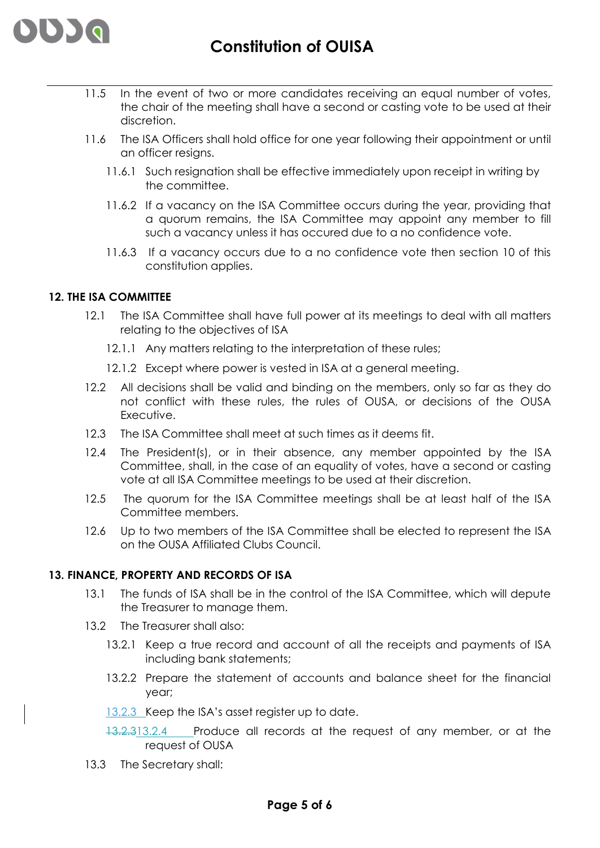

- 11.5 In the event of two or more candidates receiving an equal number of votes, the chair of the meeting shall have a second or casting vote to be used at their discretion.
- 11.6 The ISA Officers shall hold office for one year following their appointment or until an officer resigns.
	- 11.6.1 Such resignation shall be effective immediately upon receipt in writing by the committee.
	- 11.6.2 If a vacancy on the ISA Committee occurs during the year, providing that a quorum remains, the ISA Committee may appoint any member to fill such a vacancy unless it has occured due to a no confidence vote.
	- 11.6.3 If a vacancy occurs due to a no confidence vote then section 10 of this constitution applies.

## **12. THE ISA COMMITTEE**

- 12.1 The ISA Committee shall have full power at its meetings to deal with all matters relating to the objectives of ISA
	- 12.1.1 Any matters relating to the interpretation of these rules;
	- 12.1.2 Except where power is vested in ISA at a general meeting.
- 12.2 All decisions shall be valid and binding on the members, only so far as they do not conflict with these rules, the rules of OUSA, or decisions of the OUSA Executive.
- 12.3 The ISA Committee shall meet at such times as it deems fit.
- 12.4 The President(s), or in their absence, any member appointed by the ISA Committee, shall, in the case of an equality of votes, have a second or casting vote at all ISA Committee meetings to be used at their discretion.
- 12.5 The quorum for the ISA Committee meetings shall be at least half of the ISA Committee members.
- 12.6 Up to two members of the ISA Committee shall be elected to represent the ISA on the OUSA Affiliated Clubs Council.

### **13. FINANCE, PROPERTY AND RECORDS OF ISA**

- 13.1 The funds of ISA shall be in the control of the ISA Committee, which will depute the Treasurer to manage them.
- 13.2 The Treasurer shall also:
	- 13.2.1 Keep a true record and account of all the receipts and payments of ISA including bank statements;
	- 13.2.2 Prepare the statement of accounts and balance sheet for the financial year;
	- 13.2.3 Keep the ISA's asset register up to date.
	- 13.2.313.2.4 Produce all records at the request of any member, or at the request of OUSA
- 13.3 The Secretary shall: